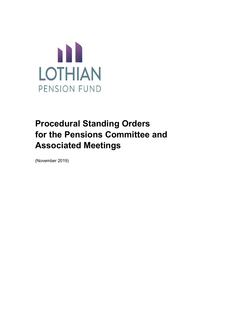

# **Procedural Standing Orders for the Pensions Committee and Associated Meetings**

(November 2019)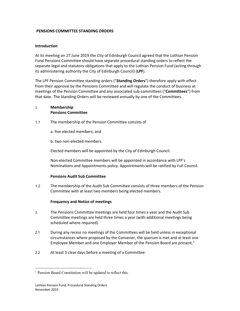#### **PENSIONS COMMITTEE STANDING ORDERS**

### **Introduction**

At its meeting on 27 June 2019 the City of Edinburgh Council agreed that the Lothian Pension Fund Pensions Committee should have separate procedural standing orders to reflect the separate legal and statutory obligations that apply to the Lothian Pension Fund (acting through its administering authority the City of Edinburgh Council) (**LPF**).

The LPF Pension Committee standing orders ("**Standing Orders**") therefore apply with effect from their approval by the Pensions Committee and will regulate the conduct of business at meetings of the Pension Committee and any associated sub-committees ("**Committees**") from that date. The Standing Orders will be reviewed annually by one of the Committees.

# 1. **Membership Pensions Committee**

- 1.1 The membership of the Pension Committee consists of
	- a. five elected members; and
	- b. two non-elected members.

Elected members will be appointed by the City of Edinburgh Council.

Non-elected Committee members will be appointed in accordance with LPF's Nominations and Appointments policy. Appointments will be ratified by Full Council.

#### **Pensions Audit Sub Committee**

1.2 The membership of the Audit Sub Committee consists of three members of the Pension Committee with at least two members being elected members.

# **Frequency and Notice of meetings**

- 2. The Pensions Committee meetings are held four times a year and the Audit Sub Committee meetings are held three times a year (with additional meetings being scheduled where required).
- 2.1 During any recess no meetings of the Committees will be held unless in exceptional circumstances where proposed by the Convener, the quorum is met and at least one Employee Member and one Employer Member of the Pension Board are present.<sup>[1](#page-1-0)</sup>
- 2.2 At least 3 clear days before a meeting of a Committee:

<span id="page-1-0"></span><sup>&</sup>lt;sup>1</sup> Pension Board Constitution will be updated to reflect this.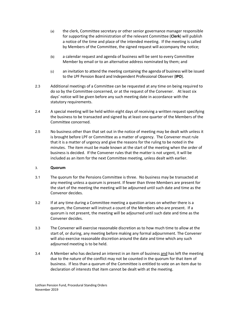- (a) the clerk, Committee secretary or other senior governance manager responsible for supporting the administration of the relevant Committee (**Clerk**) will publish a notice of the time and place of the intended meeting. If the meeting is called by Members of the Committee, the signed request will accompany the notice;
- (b) a calendar request and agenda of business will be sent to every Committee Member by email or to an alternative address nominated by them; and
- (c) an invitation to attend the meeting containing the agenda of business will be issued to the LPF Pension Board and Independent Professional Observer (**IPO**).
- 2.3 Additional meetings of a Committee can be requested at any time on being required to do so by the Committee concerned, or at the request of the Convener. At least six days' notice will be given before any such meeting date in accordance with the statutory requirements.
- 2.4 A special meeting will be held within eight days of receiving a written request specifying the business to be transacted and signed by at least one quarter of the Members of the Committee concerned.
- 2.5 No business other than that set out in the notice of meeting may be dealt with unless it is brought before LPF or Committee as a matter of urgency. The Convener must rule that it is a matter of urgency and give the reasons for the ruling to be noted in the minutes. The item must be made known at the start of the meeting when the order of business is decided. If the Convener rules that the matter is not urgent, it will be included as an item for the next Committee meeting, unless dealt with earlier.

# 3. **Quorum**

- 3.1 The quorum for the Pensions Committee is three. No business may be transacted at any meeting unless a quorum is present. If fewer than three Members are present for the start of the meeting the meeting will be adjourned until such date and time as the Convenor decides.
- 3.2 If at any time during a Committee meeting a question arises on whether there is a quorum, the Convener will instruct a count of the Members who are present. If a quorum is not present, the meeting will be adjourned until such date and time as the Convener decides.
- 3.3 The Convener will exercise reasonable discretion as to how much time to allow at the start of, or during, any meeting before making any formal adjournment. The Convener will also exercise reasonable discretion around the date and time which any such adjourned meeting is to be held.
- 3.4 A Member who has declared an interest in an item of business and has left the meeting due to the nature of the conflict may not be counted in the quorum for that item of business. If less than a quorum of the Committee is entitled to vote on an item due to declaration of interests that item cannot be dealt with at the meeting.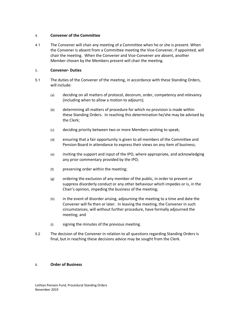#### 4. **Convener of the Committee**

4.1 The Convener will chair any meeting of a Committee when he or she is present. When the Convener is absent from a Committee meeting the Vice-Convener, if appointed, will chair the meeting. When the Convener and Vice-Convener are absent, another Member chosen by the Members present will chair the meeting.

## 5. **Convener- Duties**

- 5.1 The duties of the Convener of the meeting, in accordance with these Standing Orders, will include:
	- (a) deciding on all matters of protocol, decorum, order, competency and relevancy (including when to allow a motion to adjourn);
	- (b) determining all matters of procedure for which no provision is made within these Standing Orders. In reaching this determination he/she may be advised by the Clerk;
	- (c) deciding priority between two or more Members wishing to speak;
	- (d) ensuring that a fair opportunity is given to all members of the Committee and Pension Board in attendance to express their views on any item of business;
	- (e) inviting the support and input of the IPO, where appropriate, and acknowledging any prior commentary provided by the IPO;
	- (f) preserving order within the meeting;
	- (g) ordering the exclusion of any member of the public, in order to prevent or suppress disorderly conduct or any other behaviour which impedes or is, in the Chair's opinion, impeding the business of the meeting;
	- (h) in the event of disorder arising, adjourning the meeting to a time and date the Convener will fix then or later. In leaving the meeting, the Convener in such circumstances, will without further procedure, have formally adjourned the meeting; and
	- (i) signing the minutes of the previous meeting.
- 5.2 The decision of the Convener in relation to all questions regarding Standing Orders is final, but in reaching these decisions advice may be sought from the Clerk.

#### 6. **Order of Business**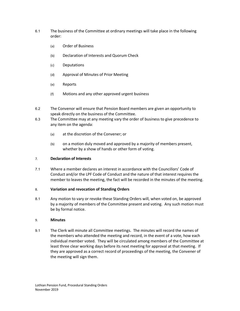- 6.1 The business of the Committee at ordinary meetings will take place in the following order:
	- (a) Order of Business
	- (b) Declaration of Interests and Quorum Check
	- (c) Deputations
	- (d) Approval of Minutes of Prior Meeting
	- (e) Reports
	- (f) Motions and any other approved urgent business
- 6.2 The Convenor will ensure that Pension Board members are given an opportunity to speak directly on the business of the Committee.
- 6.3 The Committee may at any meeting vary the order of business to give precedence to any item on the agenda:
	- (a) at the discretion of the Convener; or
	- (b) on a motion duly moved and approved by a majority of members present, whether by a show of hands or other form of voting.

#### 7. **Declaration of Interests**

7.1 Where a member declares an interest in accordance with the Councillors' Code of Conduct and/or the LPF Code of Conduct and the nature of that interest requires the member to leaves the meeting, the fact will be recorded in the minutes of the meeting.

#### 8. **Variation and revocation of Standing Orders**

8.1 Any motion to vary or revoke these Standing Orders will, when voted on, be approved by a majority of members of the Committee present and voting. Any such motion must be by formal notice.

#### 9. **Minutes**

9.1 The Clerk will minute all Committee meetings. The minutes will record the names of the members who attended the meeting and record, in the event of a vote, how each individual member voted. They will be circulated among members of the Committee at least three clear working days before its next meeting for approval at that meeting. If they are approved as a correct record of proceedings of the meeting, the Convener of the meeting will sign them.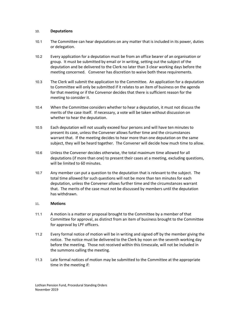#### 10. **Deputations**

- 10.1 The Committee can hear deputations on any matter that is included in its power, duties or delegation.
- 10.2 Every application for a deputation must be from an office bearer of an organisation or group. It must be submitted by email or in writing, setting out the subject of the deputation and be delivered to the Clerk no later than 3 clear working days before the meeting concerned. Convener has discretion to waive both these requirements.
- 10.3 The Clerk will submit the application to the Committee. An application for a deputation to Committee will only be submitted if it relates to an item of business on the agenda for that meeting or if the Convenor decides that there is sufficient reason for the meeting to consider it.
- 10.4 When the Committee considers whether to hear a deputation, it must not discuss the merits of the case itself. If necessary, a vote will be taken without discussion on whether to hear the deputation.
- 10.5 Each deputation will not usually exceed four persons and will have ten minutes to present its case, unless the Convener allows further time and the circumstances warrant that. If the meeting decides to hear more than one deputation on the same subject, they will be heard together. The Convener will decide how much time to allow.
- 10.6 Unless the Convener decides otherwise, the total maximum time allowed for all deputations (if more than one) to present their cases at a meeting, excluding questions, will be limited to 60 minutes.
- 10.7 Any member can put a question to the deputation that is relevant to the subject. The total time allowed for such questions will not be more than ten minutes for each deputation, unless the Convener allows further time and the circumstances warrant that. The merits of the case must not be discussed by members until the deputation has withdrawn.

#### 11. **Motions**

- 11.1 A motion is a matter or proposal brought to the Committee by a member of that Committee for approval, as distinct from an item of business brought to the Committee for approval by LPF officers.
- 11.2 Every formal notice of motion will be in writing and signed off by the member giving the notice. The notice must be delivered to the Clerk by noon on the seventh working day before the meeting. Those not received within this timescale, will not be included in the summons calling the meeting.
- 11.3 Late formal notices of motion may be submitted to the Committee at the appropriate time in the meeting if: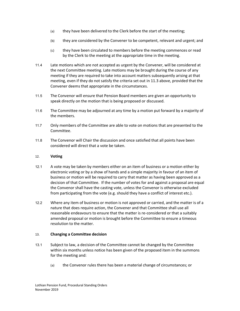- (a) they have been delivered to the Clerk before the start of the meeting;
- (b) they are considered by the Convener to be competent, relevant and urgent; and
- (c) they have been circulated to members before the meeting commences or read by the Clerk to the meeting at the appropriate time in the meeting.
- 11.4 Late motions which are not accepted as urgent by the Convener, will be considered at the next Committee meeting. Late motions may be brought during the course of any meeting if they are required to take into account matters subsequently arising at that meeting, even if they do not satisfy the criteria set out in 11.3 above, provided that the Convener deems that appropriate in the circumstances.
- 11.5 The Convenor will ensure that Pension Board members are given an opportunity to speak directly on the motion that is being proposed or discussed.
- 11.6 The Committee may be adjourned at any time by a motion put forward by a majority of the members.
- 11.7 Only members of the Committee are able to vote on motions that are presented to the Committee.
- 11.8 The Convenor will Chair the discussion and once satisfied that all points have been considered will direct that a vote be taken.

## 12. **Voting**

- 12.1 A vote may be taken by members either on an item of business or a motion either by electronic voting or by a show of hands and a simple majority in favour of an item of business or motion will be required to carry that matter as having been approved as a decision of that Committee. If the number of votes for and against a proposal are equal the Convenor shall have the casting vote, unless the Convenor is otherwise excluded from participating from the vote (e.g. should they have a conflict of interest etc.).
- 12.2 Where any item of business or motion is not approved or carried, and the matter is of a nature that does require action, the Convener and that Committee shall use all reasonable endeavours to ensure that the matter is re-considered or that a suitably amended proposal or motion is brought before the Committee to ensure a timeous resolution to the matter.

#### 13. **Changing a Committee decision**

- 13.1 Subject to law, a decision of the Committee cannot be changed by the Committee within six months unless notice has been given of the proposed item in the summons for the meeting and:
	- (a) the Convenor rules there has been a material change of circumstances; or